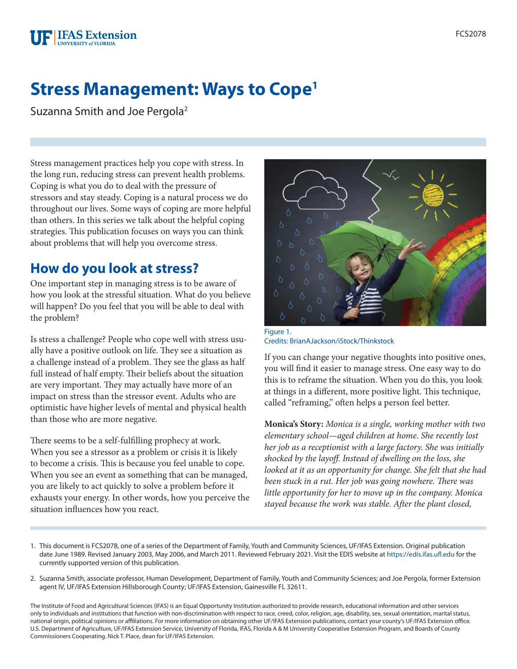# **Stress Management: Ways to Cope1**

Suzanna Smith and Joe Pergola2

Stress management practices help you cope with stress. In the long run, reducing stress can prevent health problems. Coping is what you do to deal with the pressure of stressors and stay steady. Coping is a natural process we do throughout our lives. Some ways of coping are more helpful than others. In this series we talk about the helpful coping strategies. This publication focuses on ways you can think about problems that will help you overcome stress.

# **How do you look at stress?**

One important step in managing stress is to be aware of how you look at the stressful situation. What do you believe will happen? Do you feel that you will be able to deal with the problem?

Is stress a challenge? People who cope well with stress usually have a positive outlook on life. They see a situation as a challenge instead of a problem. They see the glass as half full instead of half empty. Their beliefs about the situation are very important. They may actually have more of an impact on stress than the stressor event. Adults who are optimistic have higher levels of mental and physical health than those who are more negative.

There seems to be a self-fulfilling prophecy at work. When you see a stressor as a problem or crisis it is likely to become a crisis. This is because you feel unable to cope. When you see an event as something that can be managed, you are likely to act quickly to solve a problem before it exhausts your energy. In other words, how you perceive the situation influences how you react.



Figure 1. Credits: BrianAJackson/iStock/Thinkstock

If you can change your negative thoughts into positive ones, you will find it easier to manage stress. One easy way to do this is to reframe the situation. When you do this, you look at things in a different, more positive light. This technique, called "reframing," often helps a person feel better.

**Monica's Story:** *Monica is a single, working mother with two elementary school—aged children at home. She recently lost her job as a receptionist with a large factory. She was initially shocked by the layoff. Instead of dwelling on the loss, she looked at it as an opportunity for change. She felt that she had been stuck in a rut. Her job was going nowhere. There was little opportunity for her to move up in the company. Monica stayed because the work was stable. After the plant closed,* 

- 1. This document is FCS2078, one of a series of the Department of Family, Youth and Community Sciences, UF/IFAS Extension. Original publication date June 1989. Revised January 2003, May 2006, and March 2011. Reviewed February 2021. Visit the EDIS website at<https://edis.ifas.ufl.edu>for the currently supported version of this publication.
- 2. Suzanna Smith, associate professor, Human Development, Department of Family, Youth and Community Sciences; and Joe Pergola, former Extension agent IV, UF/IFAS Extension Hillsborough County; UF/IFAS Extension, Gainesville FL 32611.

The Institute of Food and Agricultural Sciences (IFAS) is an Equal Opportunity Institution authorized to provide research, educational information and other services only to individuals and institutions that function with non-discrimination with respect to race, creed, color, religion, age, disability, sex, sexual orientation, marital status, national origin, political opinions or affiliations. For more information on obtaining other UF/IFAS Extension publications, contact your county's UF/IFAS Extension office. U.S. Department of Agriculture, UF/IFAS Extension Service, University of Florida, IFAS, Florida A & M University Cooperative Extension Program, and Boards of County Commissioners Cooperating. Nick T. Place, dean for UF/IFAS Extension.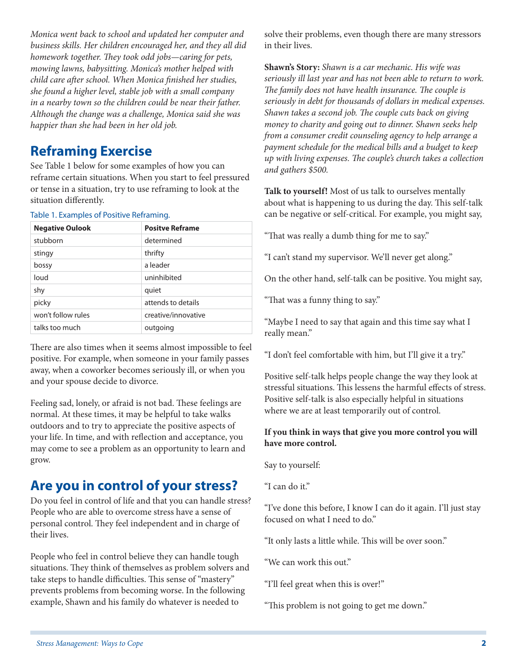*Monica went back to school and updated her computer and business skills. Her children encouraged her, and they all did homework together. They took odd jobs—caring for pets, mowing lawns, babysitting. Monica's mother helped with child care after school. When Monica finished her studies, she found a higher level, stable job with a small company in a nearby town so the children could be near their father. Although the change was a challenge, Monica said she was happier than she had been in her old job.*

### **Reframing Exercise**

See Table 1 below for some examples of how you can reframe certain situations. When you start to feel pressured or tense in a situation, try to use reframing to look at the situation differently.

Table 1. Examples of Positive Reframing.

| <b>Negative Oulook</b> | <b>Positve Reframe</b> |
|------------------------|------------------------|
| stubborn               | determined             |
| stingy                 | thrifty                |
| bossy                  | a leader               |
| loud                   | uninhibited            |
| shy                    | quiet                  |
| picky                  | attends to details     |
| won't follow rules     | creative/innovative    |
| talks too much         | outgoing               |

There are also times when it seems almost impossible to feel positive. For example, when someone in your family passes away, when a coworker becomes seriously ill, or when you and your spouse decide to divorce.

Feeling sad, lonely, or afraid is not bad. These feelings are normal. At these times, it may be helpful to take walks outdoors and to try to appreciate the positive aspects of your life. In time, and with reflection and acceptance, you may come to see a problem as an opportunity to learn and grow.

# **Are you in control of your stress?**

Do you feel in control of life and that you can handle stress? People who are able to overcome stress have a sense of personal control. They feel independent and in charge of their lives.

People who feel in control believe they can handle tough situations. They think of themselves as problem solvers and take steps to handle difficulties. This sense of "mastery" prevents problems from becoming worse. In the following example, Shawn and his family do whatever is needed to

solve their problems, even though there are many stressors in their lives.

**Shawn's Story:** *Shawn is a car mechanic. His wife was seriously ill last year and has not been able to return to work. The family does not have health insurance. The couple is seriously in debt for thousands of dollars in medical expenses. Shawn takes a second job. The couple cuts back on giving money to charity and going out to dinner. Shawn seeks help from a consumer credit counseling agency to help arrange a payment schedule for the medical bills and a budget to keep up with living expenses. The couple's church takes a collection and gathers \$500.*

**Talk to yourself!** Most of us talk to ourselves mentally about what is happening to us during the day. This self-talk can be negative or self-critical. For example, you might say,

"That was really a dumb thing for me to say."

"I can't stand my supervisor. We'll never get along."

On the other hand, self-talk can be positive. You might say,

"That was a funny thing to say."

"Maybe I need to say that again and this time say what I really mean."

"I don't feel comfortable with him, but I'll give it a try."

Positive self-talk helps people change the way they look at stressful situations. This lessens the harmful effects of stress. Positive self-talk is also especially helpful in situations where we are at least temporarily out of control.

#### **If you think in ways that give you more control you will have more control.**

Say to yourself:

"I can do it."

"I've done this before, I know I can do it again. I'll just stay focused on what I need to do."

"It only lasts a little while. This will be over soon."

"We can work this out."

"I'll feel great when this is over!"

"This problem is not going to get me down."